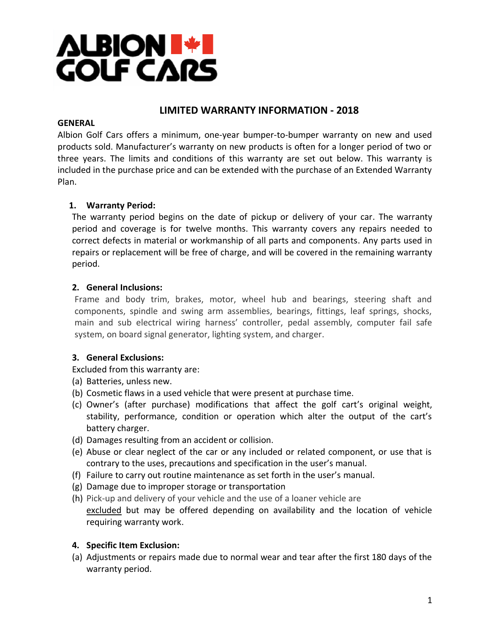

# **LIMITED WARRANTY INFORMATION - 2018**

#### **GENERAL**

Albion Golf Cars offers a minimum, one-year bumper-to-bumper warranty on new and used products sold. Manufacturer's warranty on new products is often for a longer period of two or three years. The limits and conditions of this warranty are set out below. This warranty is included in the purchase price and can be extended with the purchase of an Extended Warranty Plan.

# **1. Warranty Period:**

The warranty period begins on the date of pickup or delivery of your car. The warranty period and coverage is for twelve months. This warranty covers any repairs needed to correct defects in material or workmanship of all parts and components. Any parts used in repairs or replacement will be free of charge, and will be covered in the remaining warranty period.

# **2. General Inclusions:**

Frame and body trim, brakes, motor, wheel hub and bearings, steering shaft and components, spindle and swing arm assemblies, bearings, fittings, leaf springs, shocks, main and sub electrical wiring harness' controller, pedal assembly, computer fail safe system, on board signal generator, lighting system, and charger.

### **3. General Exclusions:**

Excluded from this warranty are:

- (a) Batteries, unless new.
- (b) Cosmetic flaws in a used vehicle that were present at purchase time.
- (c) Owner's (after purchase) modifications that affect the golf cart's original weight, stability, performance, condition or operation which alter the output of the cart's battery charger.
- (d) Damages resulting from an accident or collision.
- (e) Abuse or clear neglect of the car or any included or related component, or use that is contrary to the uses, precautions and specification in the user's manual.
- (f) Failure to carry out routine maintenance as set forth in the user's manual.
- (g) Damage due to improper storage or transportation
- (h) Pick-up and delivery of your vehicle and the use of a loaner vehicle are excluded but may be offered depending on availability and the location of vehicle requiring warranty work.

### **4. Specific Item Exclusion:**

(a) Adjustments or repairs made due to normal wear and tear after the first 180 days of the warranty period.